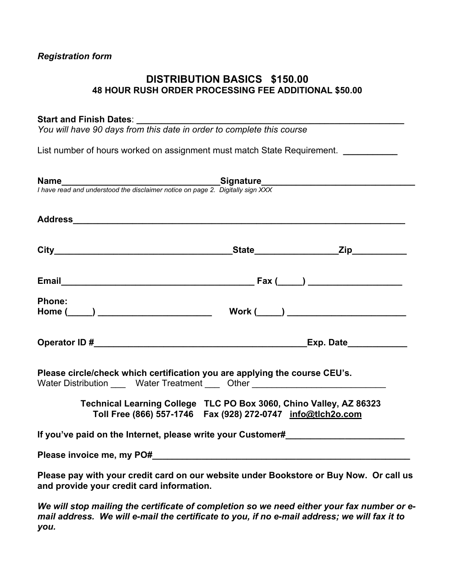# *Registration form*

# **DISTRIBUTION BASICS \$150.00 48 HOUR RUSH ORDER PROCESSING FEE ADDITIONAL \$50.00**

### Start and Finish Dates:

*You will have 90 days from this date in order to complete this course* 

List number of hours worked on assignment must match State Requirement. *\_\_\_\_\_\_\_\_\_\_* 

|                                                                                                                                                                                                                                | <b>Name</b><br>I have read and understood the disclaimer notice on page 2. Digitally sign XXX<br>$\overline{\phantom{a}}$               |
|--------------------------------------------------------------------------------------------------------------------------------------------------------------------------------------------------------------------------------|-----------------------------------------------------------------------------------------------------------------------------------------|
| Address Address Address Address Address Address Address Address Address Address Address Address Address Address Address Address Address Address Address Address Address Address Address Address Address Address Address Addres |                                                                                                                                         |
|                                                                                                                                                                                                                                |                                                                                                                                         |
|                                                                                                                                                                                                                                |                                                                                                                                         |
| <b>Phone:</b>                                                                                                                                                                                                                  |                                                                                                                                         |
|                                                                                                                                                                                                                                |                                                                                                                                         |
| Please circle/check which certification you are applying the course CEU's.                                                                                                                                                     | Water Distribution _____ Water Treatment ____ Other ____________________________                                                        |
|                                                                                                                                                                                                                                | Technical Learning College TLC PO Box 3060, Chino Valley, AZ 86323<br>Toll Free (866) 557-1746    Fax (928) 272-0747    info@tlch2o.com |
|                                                                                                                                                                                                                                | If you've paid on the Internet, please write your Customer#_____________________                                                        |
|                                                                                                                                                                                                                                |                                                                                                                                         |
| and provide your credit card information.                                                                                                                                                                                      | Please pay with your credit card on our website under Bookstore or Buy Now. Or call us                                                  |
|                                                                                                                                                                                                                                | We will aton mailing the certificate of completion as we need either your fey number as a                                               |

*We will stop mailing the certificate of completion so we need either your fax number or email address. We will e-mail the certificate to you, if no e-mail address; we will fax it to you.*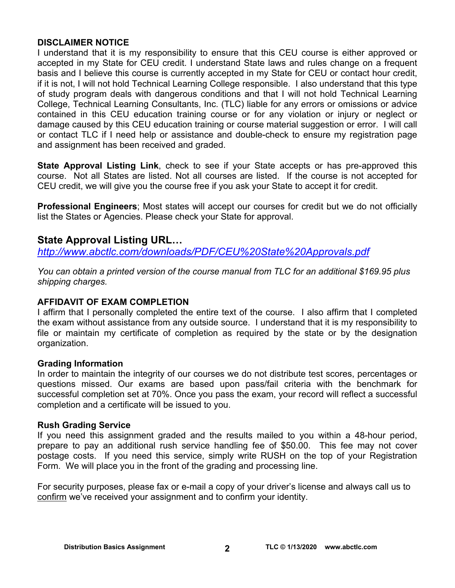# **DISCLAIMER NOTICE**

I understand that it is my responsibility to ensure that this CEU course is either approved or accepted in my State for CEU credit. I understand State laws and rules change on a frequent basis and I believe this course is currently accepted in my State for CEU or contact hour credit, if it is not, I will not hold Technical Learning College responsible. I also understand that this type of study program deals with dangerous conditions and that I will not hold Technical Learning College, Technical Learning Consultants, Inc. (TLC) liable for any errors or omissions or advice contained in this CEU education training course or for any violation or injury or neglect or damage caused by this CEU education training or course material suggestion or error. I will call or contact TLC if I need help or assistance and double-check to ensure my registration page and assignment has been received and graded.

**State Approval Listing Link**, check to see if your State accepts or has pre-approved this course. Not all States are listed. Not all courses are listed. If the course is not accepted for CEU credit, we will give you the course free if you ask your State to accept it for credit.

**Professional Engineers**; Most states will accept our courses for credit but we do not officially list the States or Agencies. Please check your State for approval.

# **State Approval Listing URL…**

*<http://www.abctlc.com/downloads/PDF/CEU%20State%20Approvals.pdf>*

*You can obtain a printed version of the course manual from TLC for an additional \$169.95 plus shipping charges.* 

# **AFFIDAVIT OF EXAM COMPLETION**

I affirm that I personally completed the entire text of the course. I also affirm that I completed the exam without assistance from any outside source. I understand that it is my responsibility to file or maintain my certificate of completion as required by the state or by the designation organization.

# **Grading Information**

In order to maintain the integrity of our courses we do not distribute test scores, percentages or questions missed. Our exams are based upon pass/fail criteria with the benchmark for successful completion set at 70%. Once you pass the exam, your record will reflect a successful completion and a certificate will be issued to you.

# **Rush Grading Service**

If you need this assignment graded and the results mailed to you within a 48-hour period, prepare to pay an additional rush service handling fee of \$50.00. This fee may not cover postage costs. If you need this service, simply write RUSH on the top of your Registration Form. We will place you in the front of the grading and processing line.

For security purposes, please fax or e-mail a copy of your driver's license and always call us to confirm we've received your assignment and to confirm your identity.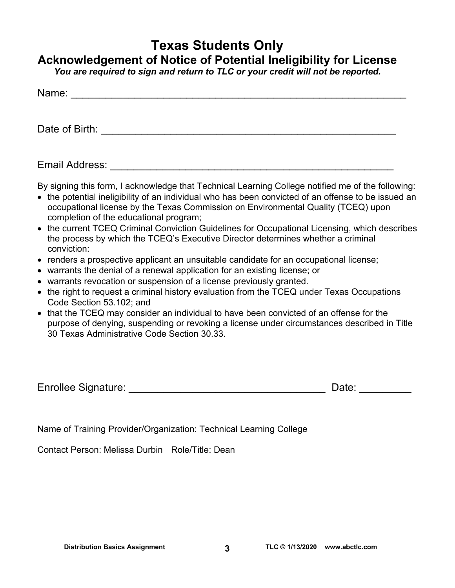# **Texas Students Only**

# **Acknowledgement of Notice of Potential Ineligibility for License**

*You are required to sign and return to TLC or your credit will not be reported.* 

| Name:          |  |  |  |
|----------------|--|--|--|
|                |  |  |  |
| Date of Birth: |  |  |  |

Email Address: **Email Address: Email Address: All and Address: All and Address: All and Address: All and Address: All and Address: All and Address: All and Address: All and Address: All and Address: A** 

By signing this form, I acknowledge that Technical Learning College notified me of the following:

- the potential ineligibility of an individual who has been convicted of an offense to be issued an occupational license by the Texas Commission on Environmental Quality (TCEQ) upon completion of the educational program;
- the current TCEQ Criminal Conviction Guidelines for Occupational Licensing, which describes the process by which the TCEQ's Executive Director determines whether a criminal conviction:
- renders a prospective applicant an unsuitable candidate for an occupational license;
- warrants the denial of a renewal application for an existing license; or
- warrants revocation or suspension of a license previously granted.
- the right to request a criminal history evaluation from the TCEQ under Texas Occupations Code Section 53.102; and
- that the TCEQ may consider an individual to have been convicted of an offense for the purpose of denying, suspending or revoking a license under circumstances described in Title 30 Texas Administrative Code Section 30.33.

Enrollee Signature: \_\_\_\_\_\_\_\_\_\_\_\_\_\_\_\_\_\_\_\_\_\_\_\_\_\_\_\_\_\_\_\_\_\_ Date: \_\_\_\_\_\_\_\_\_

Name of Training Provider/Organization: Technical Learning College

Contact Person: Melissa Durbin Role/Title: Dean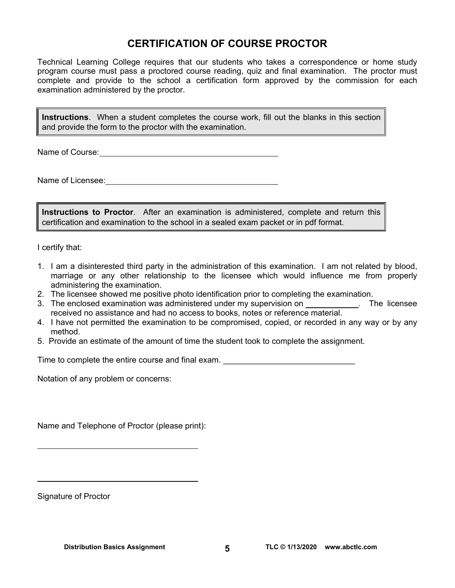# **CERTIFICATION OF COURSE PROCTOR**

Technical Learning College requires that our students who takes a correspondence or home study program course must pass a proctored course reading, quiz and final examination. The proctor must complete and provide to the school a certification form approved by the commission for each examination administered by the proctor.

**Instructions**. When a student completes the course work, fill out the blanks in this section and provide the form to the proctor with the examination.

Name of Course:  $\blacksquare$ 

Name of Licensee:  $\qquad \qquad \qquad$ 

**Instructions to Proctor**. After an examination is administered, complete and return this certification and examination to the school in a sealed exam packet or in pdf format.

I certify that:

- 1. I am a disinterested third party in the administration of this examination. I am not related by blood, marriage or any other relationship to the licensee which would influence me from properly administering the examination.
- 2. The licensee showed me positive photo identification prior to completing the examination.
- 3. The enclosed examination was administered under my supervision on . The licensee received no assistance and had no access to books, notes or reference material.
- 4. I have not permitted the examination to be compromised, copied, or recorded in any way or by any method.
- 5. Provide an estimate of the amount of time the student took to complete the assignment.

Time to complete the entire course and final exam. \_\_\_\_\_\_\_\_\_\_\_\_\_\_\_\_\_\_\_\_\_\_\_\_\_\_\_\_\_

Notation of any problem or concerns:

Name and Telephone of Proctor (please print):

Signature of Proctor

 $\overline{a}$ 

 $\overline{a}$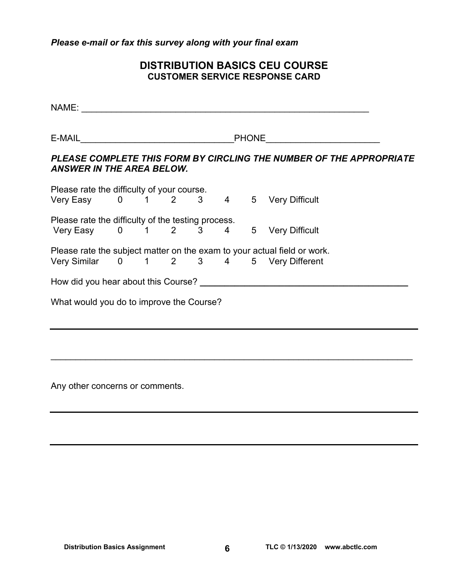*Please e-mail or fax this survey along with your final exam* 

# **DISTRIBUTION BASICS CEU COURSE CUSTOMER SERVICE RESPONSE CARD**

NAME: \_\_\_\_\_\_\_\_\_\_\_\_\_\_\_\_\_\_\_\_\_\_\_\_\_\_\_\_\_\_\_\_\_\_\_\_\_\_\_\_\_\_\_\_\_\_\_\_\_\_\_\_\_\_\_\_\_\_ E-MAIL **E-MAIL E-MAIL** *PLEASE COMPLETE THIS FORM BY CIRCLING THE NUMBER OF THE APPROPRIATE ANSWER IN THE AREA BELOW.*  Please rate the difficulty of your course. Very Easy 0 1 2 3 4 5 Very Difficult Please rate the difficulty of the testing process. Very Easy 0 1 2 3 4 5 Very Difficult Please rate the subject matter on the exam to your actual field or work. Very Similar 0 1 2 3 4 5 Very Different How did you hear about this Course?<br> **How did you hear about this Course?** What would you do to improve the Course?

 $\overline{\phantom{a}}$  , and the contribution of the contribution of the contribution of the contribution of the contribution of the contribution of the contribution of the contribution of the contribution of the contribution of the

Any other concerns or comments.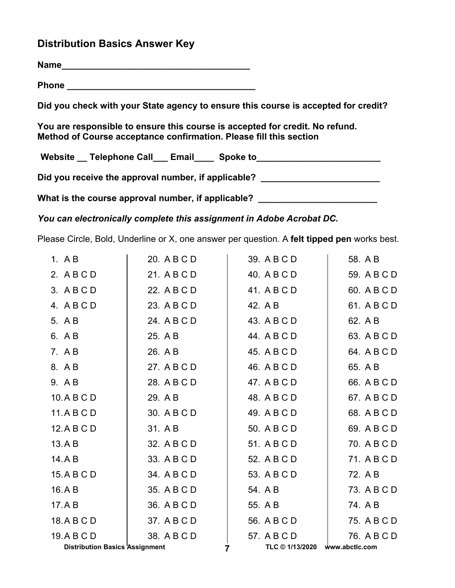# **Distribution Basics Answer Key**

**Name\_\_\_\_\_\_\_\_\_\_\_\_\_\_\_\_\_\_\_\_\_\_\_\_\_\_\_\_\_\_\_\_\_\_\_\_\_\_**

**Phone \_\_\_\_\_\_\_\_\_\_\_\_\_\_\_\_\_\_\_\_\_\_\_\_\_\_\_\_\_\_\_\_\_\_\_\_\_\_** 

**Did you check with your State agency to ensure this course is accepted for credit?** 

**You are responsible to ensure this course is accepted for credit. No refund. Method of Course acceptance confirmation. Please fill this section** 

Website \_\_ Telephone Call \_\_ Email \_\_\_ Spoke to \_\_\_\_\_\_\_\_\_\_\_\_\_\_\_\_\_\_\_\_\_\_\_\_\_\_\_\_\_\_\_\_

Did you receive the approval number, if applicable?

What is the course approval number, if applicable? \_\_\_\_\_\_\_\_\_\_\_\_\_\_\_\_\_\_\_\_\_\_\_\_\_\_\_\_\_

*You can electronically complete this assignment in Adobe Acrobat DC.* 

Please Circle, Bold, Underline or X, one answer per question. A **felt tipped pen** works best.

| 1. $AB$                               | 20. A B C D | 39. A B C D                    | 58. A B     |
|---------------------------------------|-------------|--------------------------------|-------------|
| 2. ABCD                               | 21. A B C D | 40. A B C D                    | 59. A B C D |
| 3. ABCD                               | 22. A B C D | 41. A B C D                    | 60. A B C D |
| 4. ABCD                               | 23. A B C D | 42. A B                        | 61. A B C D |
| 5. A B                                | 24. A B C D | 43. A B C D                    | 62. A B     |
| 6. A B                                | 25. A B     | 44. A B C D                    | 63. A B C D |
| 7. A B                                | 26. A B     | 45. A B C D                    | 64. A B C D |
| 8. A B                                | 27. A B C D | 46. A B C D                    | 65. A B     |
| 9. AB                                 | 28. A B C D | 47. A B C D                    | 66. A B C D |
| 10.ABCD                               | 29. A B     | 48. A B C D                    | 67. A B C D |
| 11.ABCD                               | 30. A B C D | 49. A B C D                    | 68. A B C D |
| 12.ABCD                               | 31. A B     | 50. A B C D                    | 69. A B C D |
| 13.AB                                 | 32. A B C D | 51. A B C D                    | 70. A B C D |
| 14.AB                                 | 33. A B C D | 52. A B C D                    | 71. A B C D |
| 15.ABCD                               | 34. A B C D | 53. A B C D                    | 72. A B     |
| 16.AB                                 | 35. A B C D | 54. A B                        | 73. A B C D |
| 17.AB                                 | 36. A B C D | 55. A B                        | 74. A B     |
| 18.ABCD                               | 37. A B C D | 56. A B C D                    | 75. A B C D |
| 19.ABCD                               | 38. A B C D | 57. A B C D                    | 76. A B C D |
| <b>Distribution Basics Assignment</b> |             | TLC © 1/13/2020 www.abctlc.com |             |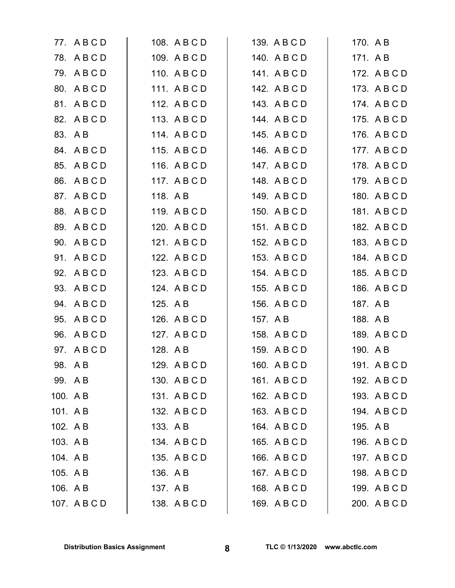|          | 77. ABCD     |          | 108. A B C D | 139. A B C D | 170. A B |              |
|----------|--------------|----------|--------------|--------------|----------|--------------|
|          | 78. ABCD     |          | 109. ABCD    | 140. ABCD    | 171. AB  |              |
|          | 79. ABCD     |          | 110. ABCD    | 141. ABCD    |          | 172. A B C D |
|          | 80. A B C D  |          | 111. ABCD    | 142. A B C D |          | 173. A B C D |
|          | 81. ABCD     |          | 112. A B C D | 143. A B C D |          | 174. A B C D |
|          | 82. A B C D  |          | 113. ABCD    | 144. ABCD    |          | 175. A B C D |
|          | 83. A B      |          | 114. ABCD    | 145. A B C D |          | 176. A B C D |
|          | 84. A B C D  |          | 115. A B C D | 146. A B C D |          | 177. A B C D |
| 85.      | ABCD         |          | 116. A B C D | 147. A B C D |          | 178. A B C D |
| 86.      | ABCD         |          | 117. ABCD    | 148. ABCD    |          | 179. A B C D |
|          | 87. A B C D  | 118. A B |              | 149. ABCD    |          | 180. A B C D |
|          | 88. A B C D  |          | 119. A B C D | 150. A B C D |          | 181. A B C D |
| 89.      | ABCD         |          | 120. A B C D | 151. ABCD    |          | 182. A B C D |
| 90.      | ABCD         |          | 121. A B C D | 152. A B C D |          | 183. A B C D |
|          | 91. ABCD     |          | 122. A B C D | 153. A B C D |          | 184. A B C D |
|          | 92. A B C D  |          | 123. A B C D | 154. A B C D |          | 185. A B C D |
| 93.      | ABCD         |          | 124. A B C D | 155. A B C D |          | 186. A B C D |
| 94.      | ABCD         | 125. A B |              | 156. A B C D | 187. A B |              |
| 95.      | ABCD         |          | 126. A B C D | 157. A B     | 188. A B |              |
| 96.      | ABCD         |          | 127. A B C D | 158. A B C D |          | 189. A B C D |
|          | 97. A B C D  | 128. A B |              | 159. A B C D | 190. A B |              |
|          | 98. AB       |          | 129. A B C D | 160. A B C D |          | 191. A B C D |
| 99. A B  |              |          | 130. A B C D | 161. A B C D |          | 192. A B C D |
| 100. AB  |              |          | 131. ABCD    | 162. A B C D |          | 193. A B C D |
| 101. AB  |              |          | 132. A B C D | 163. ABCD    |          | 194. A B C D |
| 102. AB  |              | 133. AB  |              | 164. A B C D | 195. A B |              |
| 103. A B |              |          | 134. A B C D | 165. A B C D |          | 196. A B C D |
| 104. A B |              |          | 135. A B C D | 166. A B C D |          | 197. A B C D |
| 105. A B |              | 136. A B |              | 167. A B C D |          | 198. A B C D |
| 106. A B |              | 137. A B |              | 168. A B C D |          | 199. A B C D |
|          | 107. A B C D |          | 138. A B C D | 169. A B C D |          | 200. A B C D |
|          |              |          |              |              |          |              |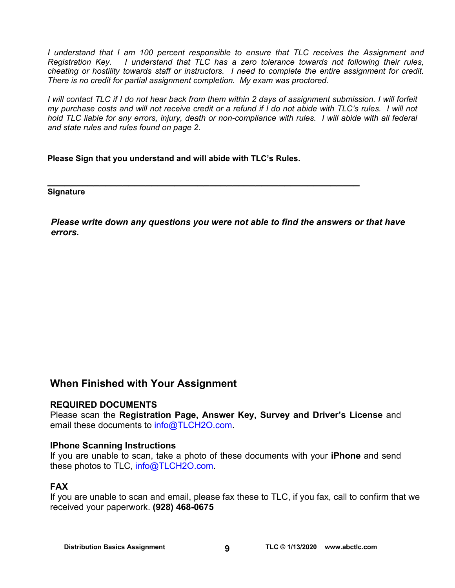*I understand that I am 100 percent responsible to ensure that TLC receives the Assignment and Registration Key. I understand that TLC has a zero tolerance towards not following their rules, cheating or hostility towards staff or instructors. I need to complete the entire assignment for credit. There is no credit for partial assignment completion. My exam was proctored.* 

*I will contact TLC if I do not hear back from them within 2 days of assignment submission. I will forfeit my purchase costs and will not receive credit or a refund if I do not abide with TLC's rules. I will not hold TLC liable for any errors, injury, death or non-compliance with rules. I will abide with all federal and state rules and rules found on page 2.* 

**Please Sign that you understand and will abide with TLC's Rules.** 

**\_\_\_\_\_\_\_\_\_\_\_\_\_\_\_\_\_\_\_\_\_\_\_\_\_\_\_\_\_\_\_\_\_\_\_\_\_\_\_\_\_\_\_\_\_\_\_\_\_\_\_\_\_\_ Signature** 

*Please write down any questions you were not able to find the answers or that have errors.* 

# **When Finished with Your Assignment**

# **REQUIRED DOCUMENTS**

Please scan the **Registration Page, Answer Key, Survey and Driver's License** and email these documents to info@TLCH2O.com.

### **IPhone Scanning Instructions**

If you are unable to scan, take a photo of these documents with your **iPhone** and send these photos to TLC, info@TLCH2O.com.

# **FAX**

If you are unable to scan and email, please fax these to TLC, if you fax, call to confirm that we received your paperwork. **(928) 468-0675**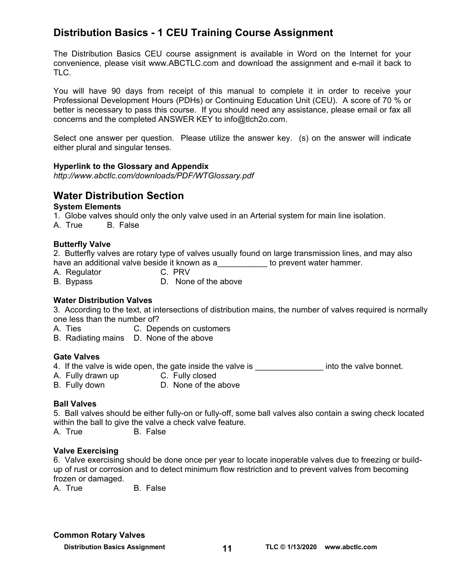# **Distribution Basics - 1 CEU Training Course Assignment**

The Distribution Basics CEU course assignment is available in Word on the Internet for your convenience, please visit [www.ABCTLC.com an](http://www.ABCTLC.com)d download the assignment and e-mail it back to TLC.

You will have 90 days from receipt of this manual to complete it in order to receive your Professional Development Hours (PDHs) or Continuing Education Unit (CEU). A score of 70 % or better is necessary to pass this course. If you should need any assistance, please email or fax all concerns and the completed ANSWER KEY to [info@tlch2o.com.](mailto:info@tlch2o.com) 

Select one answer per question. Please utilize the answer key. (s) on the answer will indicate either plural and singular tenses.

### **Hyperlink to the Glossary and Appendix**

*<http://www.abctlc.com/downloads/PDF/WTGlossary.pdf>*

# **Water Distribution Section**

### **System Elements**

1. Globe valves should only the only valve used in an Arterial system for main line isolation.

A. True B. False

### **Butterfly Valve**

2. Butterfly valves are rotary type of valves usually found on large transmission lines, and may also have an additional valve beside it known as a\_\_\_\_\_\_\_\_\_\_\_ to prevent water hammer.

- A. Regulator C. PRV
- B. Bypass D. None of the above

### **Water Distribution Valves**

3. According to the text, at intersections of distribution mains, the number of valves required is normally one less than the number of?

- A. Ties C. Depends on customers
- B. Radiating mains D. None of the above

### **Gate Valves**

- 4. If the valve is wide open, the gate inside the valve is \_\_\_\_\_\_\_\_\_\_\_\_\_\_\_\_\_\_\_\_ into the valve bonnet.
- A. Fully drawn up **C. Fully closed**
- B. Fully down D. None of the above

### **Ball Valves**

5. Ball valves should be either fully-on or fully-off, some ball valves also contain a swing check located within the ball to give the valve a check valve feature.

A. True B. False

### **Valve Exercising**

6. Valve exercising should be done once per year to locate inoperable valves due to freezing or buildup of rust or corrosion and to detect minimum flow restriction and to prevent valves from becoming frozen or damaged.

A. True B. False

### **Common Rotary Valves**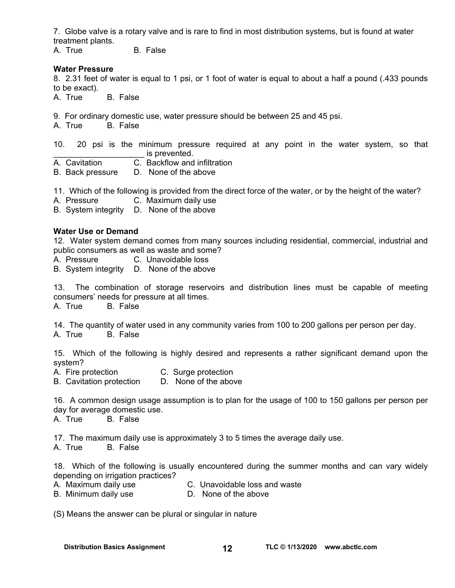7. Globe valve is a rotary valve and is rare to find in most distribution systems, but is found at water treatment plants.

A. True B. False

### **Water Pressure**

8. 2.31 feet of water is equal to 1 psi, or 1 foot of water is equal to about a half a pound (.433 pounds to be exact).

A. True B. False

9. For ordinary domestic use, water pressure should be between 25 and 45 psi.

A. True B. False

10. 20 psi is the minimum pressure required at any point in the water system, so that is prevented.

A. Cavitation C. Backflow and infiltration

B. Back pressure D. None of the above

11. Which of the following is provided from the direct force of the water, or by the height of the water?

A. Pressure C. Maximum daily use

B. System integrity D. None of the above

### **Water Use or Demand**

12. Water system demand comes from many sources including residential, commercial, industrial and public consumers as well as waste and some?

A. Pressure C. Unavoidable loss

B. System integrity D. None of the above

13. The combination of storage reservoirs and distribution lines must be capable of meeting consumers' needs for pressure at all times.

A. True B. False

14. The quantity of water used in any community varies from 100 to 200 gallons per person per day.

A. True B. False

15. Which of the following is highly desired and represents a rather significant demand upon the system?

A. Fire protection C. Surge protection

B. Cavitation protection D. None of the above

16. A common design usage assumption is to plan for the usage of 100 to 150 gallons per person per day for average domestic use.

A. True B. False

17. The maximum daily use is approximately 3 to 5 times the average daily use.

A. True B. False

18. Which of the following is usually encountered during the summer months and can vary widely depending on irrigation practices?

- A. Maximum daily use C. Unavoidable loss and waste
- B. Minimum daily use D. None of the above

(S) Means the answer can be plural or singular in nature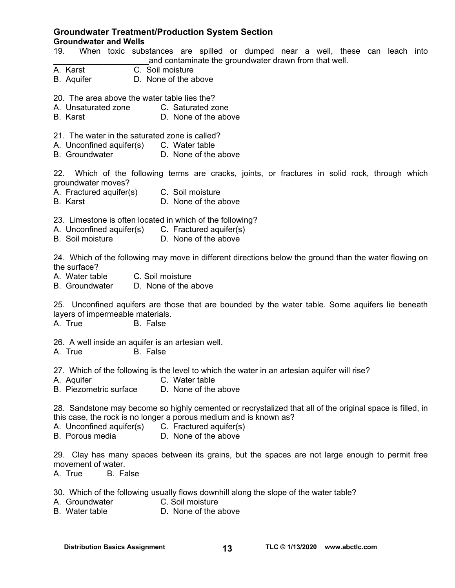### **Groundwater Treatment/Production System Section Groundwater and Wells**

- 19. When toxic substances are spilled or dumped near a well, these can leach into and contaminate the groundwater drawn from that well.
- A. Karst C. Soil moisture
- B. Aquifer D. None of the above
- 20. The area above the water table lies the?
- A. Unsaturated zone C. Saturated zone
- B. Karst D. None of the above
- 21. The water in the saturated zone is called?
- A. Unconfined aquifer(s) C. Water table
- B. Groundwater D. None of the above

22. Which of the following terms are cracks, joints, or fractures in solid rock, through which groundwater moves?

- A. Fractured aquifer(s) C. Soil moisture
- B. Karst D. None of the above

23. Limestone is often located in which of the following?

- A. Unconfined aquifer(s) C. Fractured aquifer(s)<br>B. Soil moisture D. None of the above
- D. None of the above

24. Which of the following may move in different directions below the ground than the water flowing on the surface?

- A. Water table C. Soil moisture
- B. Groundwater D. None of the above

25. Unconfined aquifers are those that are bounded by the water table. Some aquifers lie beneath layers of impermeable materials.

A. True B. False

26. A well inside an aquifer is an artesian well.

A. True B. False

27. Which of the following is the level to which the water in an artesian aquifer will rise?<br>A. Aquifer cable C. Water table

- C. Water table
- B. Piezometric surface D. None of the above

28. Sandstone may become so highly cemented or recrystalized that all of the original space is filled, in this case, the rock is no longer a porous medium and is known as?

- A. Unconfined aquifer(s) C. Fractured aquifer(s)
- B. Porous media D. None of the above

29. Clay has many spaces between its grains, but the spaces are not large enough to permit free movement of water.

A. True B. False

30. Which of the following usually flows downhill along the slope of the water table?

- A. Groundwater C. Soil moisture<br>B. Water table B. None of the a
- D. None of the above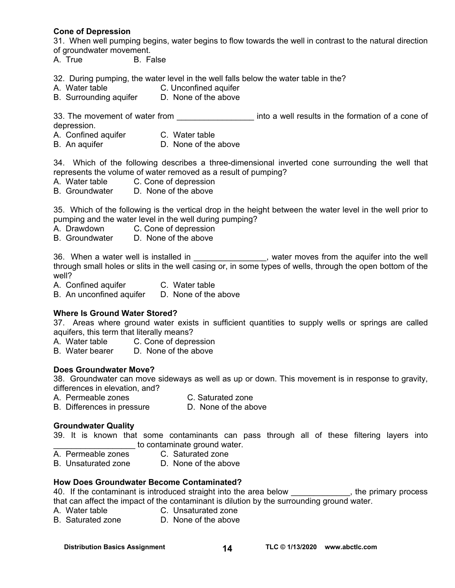### **Cone of Depression**

31. When well pumping begins, water begins to flow towards the well in contrast to the natural direction of groundwater movement.

A. True B. False

32. During pumping, the water level in the well falls below the water table in the?

- A. Water table C. Unconfined aquifer
- B. Surrounding aquifer D. None of the above

33. The movement of water from **Example 20** into a well results in the formation of a cone of depression.

- A. Confined aquifer C. Water table
- B. An aquifer **D.** None of the above

34. Which of the following describes a three-dimensional inverted cone surrounding the well that represents the volume of water removed as a result of pumping?

- A. Water table C. Cone of depression
- B. Groundwater D. None of the above

35. Which of the following is the vertical drop in the height between the water level in the well prior to pumping and the water level in the well during pumping?

- A. Drawdown C. Cone of depression
- B. Groundwater D. None of the above

36. When a water well is installed in the same state well state well in the aquifer into the well through small holes or slits in the well casing or, in some types of wells, through the open bottom of the well?

A. Confined aquifer **C. Water table** 

B. An unconfined aquifer D. None of the above

### **Where Is Ground Water Stored?**

37. Areas where ground water exists in sufficient quantities to supply wells or springs are called aquifers, this term that literally means?

- A. Water table C. Cone of depression
- B. Water bearer D. None of the above

### **Does Groundwater Move?**

38. Groundwater can move sideways as well as up or down. This movement is in response to gravity, differences in elevation, and?

- A. Permeable zones C. Saturated zone
- B. Differences in pressure D. None of the above

#### **Groundwater Quality**

39. It is known that some contaminants can pass through all of these filtering layers into to contaminate ground water.

- A. Permeable zones C. Saturated zone
	-
- B. Unsaturated zone D. None of the above

### **How Does Groundwater Become Contaminated?**

40. If the contaminant is introduced straight into the area below \_\_\_\_\_\_\_\_\_\_\_\_\_, the primary process that can affect the impact of the contaminant is dilution by the surrounding ground water.

- A. Water table C. Unsaturated zone
- B. Saturated zone D. None of the above

Distribution Basics Assignment **14** TLC © 1/13/2020 www.abctlc.com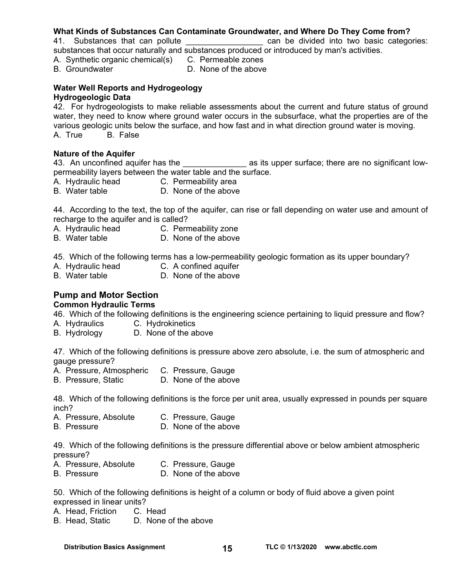### **What Kinds of Substances Can Contaminate Groundwater, and Where Do They Come from?**

41. Substances that can pollute **that can can be divided into two basic categories:** substances that occur naturally and substances produced or introduced by man's activities.

- A. Synthetic organic chemical(s) C. Permeable zones
- 
- 
- B. Groundwater **D. None of the above**

# **Water Well Reports and Hydrogeology**

# **Hydrogeologic Data**

42. For hydrogeologists to make reliable assessments about the current and future status of ground water, they need to know where ground water occurs in the subsurface, what the properties are of the various geologic units below the surface, and how fast and in what direction ground water is moving.<br>A. True B. False **B.** False

### **Nature of the Aquifer**

43. An unconfined aquifer has the **the set of the set of the set of set of the set of the set of the set of the s** permeability layers between the water table and the surface.

- A. Hydraulic head C. Permeability area
- B. Water table **D.** None of the above

44. According to the text, the top of the aquifer, can rise or fall depending on water use and amount of recharge to the aquifer and is called?

- A. Hydraulic head C. Permeability zone
- B. Water table **D.** None of the above

45. Which of the following terms has a low-permeability geologic formation as its upper boundary?<br>A. Hydraulic head can fined aquifer

- A. Hydraulic head<br>B. Water table
- D. None of the above

# **Pump and Motor Section**

### **Common Hydraulic Terms**

46. Which of the following definitions is the engineering science pertaining to liquid pressure and flow?

- A. Hydraulics C. Hydrokinetics
- B. Hydrology D. None of the above

47. Which of the following definitions is pressure above zero absolute, i.e. the sum of atmospheric and gauge pressure?

- A. Pressure, Atmospheric C. Pressure, Gauge<br>B. Pressure, Static C. None of the above
- B. Pressure, Static

48. Which of the following definitions is the force per unit area, usually expressed in pounds per square inch?

- A. Pressure, Absolute C. Pressure, Gauge
- B. Pressure **D.** None of the above

49. Which of the following definitions is the pressure differential above or below ambient atmospheric pressure?

- A. Pressure, Absolute C. Pressure, Gauge
- B. Pressure **D. None of the above**

50. Which of the following definitions is height of a column or body of fluid above a given point expressed in linear units?

- A. Head, Friction C. Head
- B. Head, Static D. None of the above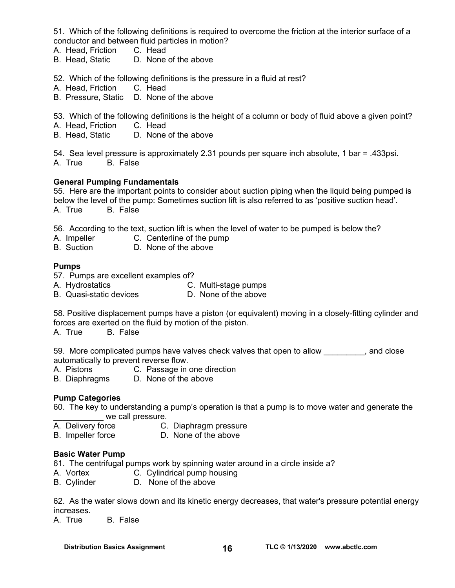51. Which of the following definitions is required to overcome the friction at the interior surface of a conductor and between fluid particles in motion?

- A. Head, Friction C. Head
- B. Head, Static D. None of the above

52. Which of the following definitions is the pressure in a fluid at rest?

- A. Head, Friction C. Head
- B. Pressure, Static D. None of the above

53. Which of the following definitions is the height of a column or body of fluid above a given point?

- A. Head, Friction C. Head<br>B. Head, Static D. None
- D. None of the above

54. Sea level pressure is approximately 2.31 pounds per square inch absolute, 1 bar = .433psi. A. True B. False

### **General Pumping Fundamentals**

55. Here are the important points to consider about suction piping when the liquid being pumped is below the level of the pump: Sometimes suction lift is also referred to as 'positive suction head'. A. True B. False

56. According to the text, suction lift is when the level of water to be pumped is below the?

- A. Impeller C. Centerline of the pump<br>B. Suction D. None of the above
- D. None of the above

### **Pumps**

- 57. Pumps are excellent examples of?
- A. Hydrostatics **C. Multi-stage pumps**
- B. Quasi-static devices D. None of the above

58. Positive displacement pumps have a piston (or equivalent) moving in a closely-fitting cylinder and forces are exerted on the fluid by motion of the piston.

A. True B. False

59. More complicated pumps have valves check valves that open to allow exactled conservative modes to the cons automatically to prevent reverse flow.

- A. Pistons C. Passage in one direction
- B. Diaphragms D. None of the above

### **Pump Categories**

60. The key to understanding a pump's operation is that a pump is to move water and generate the we call pressure.

- A. Delivery force C. Diaphragm pressure
- B. Impeller force D. None of the above

### **Basic Water Pump**

61. The centrifugal pumps work by spinning water around in a circle inside a?

- A. Vortex **C.** Cylindrical pump housing<br>
B. Cylinder **D.** None of the above
- D. None of the above

62. As the water slows down and its kinetic energy decreases, that water's pressure potential energy increases.

A. True B. False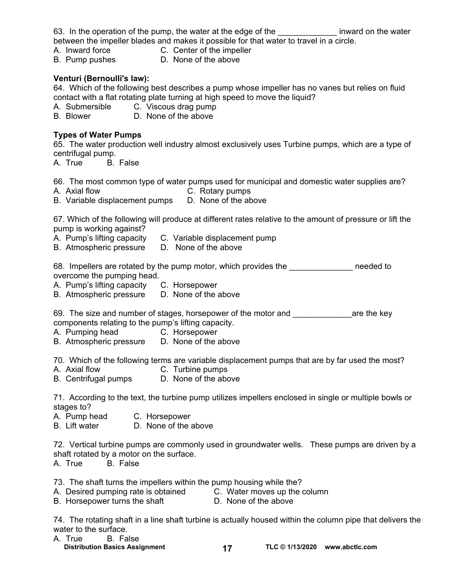|                 | 63. In the operation of the pump, the water at the edge of the                          | inward on the water |
|-----------------|-----------------------------------------------------------------------------------------|---------------------|
|                 | between the impeller blades and makes it possible for that water to travel in a circle. |                     |
| A. Inward force | C. Center of the impeller                                                               |                     |

B. Pump pushes D. None of the above

### **Venturi (Bernoulli's law):**

64. Which of the following best describes a pump whose impeller has no vanes but relies on fluid contact with a flat rotating plate turning at high speed to move the liquid?

A. Submersible C. Viscous drag pump

B. Blower D. None of the above

### **Types of Water Pumps**

65. The water production well industry almost exclusively uses Turbine pumps, which are a type of centrifugal pump.

A. True B. False

66. The most common type of water pumps used for municipal and domestic water supplies are?

A. Axial flow C. Rotary pumps

B. Variable displacement pumps D. None of the above

67. Which of the following will produce at different rates relative to the amount of pressure or lift the pump is working against?

- A. Pump's lifting capacity C. Variable displacement pump
- B. Atmospheric pressure D. None of the above

68. Impellers are rotated by the pump motor, which provides the meeded to overcome the pumping head.

- A. Pump's lifting capacity C. Horsepower
- B. Atmospheric pressure D. None of the above

69. The size and number of stages, horsepower of the motor and \_\_\_\_\_\_\_\_\_\_\_\_\_are the key components relating to the pump's lifting capacity.

- A. Pumping head C. Horsepower
- B. Atmospheric pressure D. None of the above

70. Which of the following terms are variable displacement pumps that are by far used the most?

- A. Axial flow C. Turbine pumps
- B. Centrifugal pumps D. None of the above

71. According to the text, the turbine pump utilizes impellers enclosed in single or multiple bowls or stages to?<br>A. Pump head

- C. Horsepower
- B. Lift water D. None of the above

72. Vertical turbine pumps are commonly used in groundwater wells. These pumps are driven by a shaft rotated by a motor on the surface.

A. True B. False

73. The shaft turns the impellers within the pump housing while the?

- A. Desired pumping rate is obtained C. Water moves up the column
- B. Horsepower turns the shaft D. None of the above

74. The rotating shaft in a line shaft turbine is actually housed within the column pipe that delivers the water to the surface.

- A. True B. False
	- Distribution Basics Assignment **17** TLC © 1/13/2020 www.abctlc.com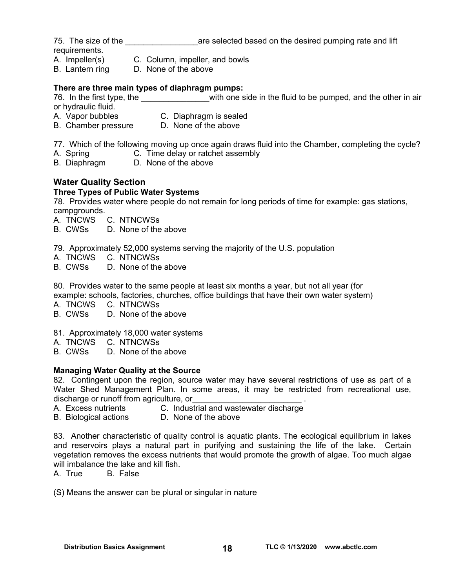75. The size of the **The size of the selected based on the desired pumping rate and lift** requirements.

- A. Impeller(s) C. Column, impeller, and bowls
	-
- B. Lantern ring D. None of the above

### **There are three main types of diaphragm pumps:**

76. In the first type, the **Example 10** with one side in the fluid to be pumped, and the other in air or hydraulic fluid.

- A. Vapor bubbles C. Diaphragm is sealed
- B. Chamber pressure D. None of the above
- 77. Which of the following moving up once again draws fluid into the Chamber, completing the cycle?
- A. Spring C. Time delay or ratchet assembly
- B. Diaphragm D. None of the above

# **Water Quality Section**

### **Three Types of Public Water Systems**

78.Provides water where people do not remain for long periods of time for example: gas stations, campgrounds.

- A. TNCWS C. NTNCWSs
- B. CWSs D. None of the above

79. Approximately 52,000 systems serving the majority of the U.S. population

- A. TNCWS C. NTNCWSs
- B. CWSs D. None of the above

80.Provides water to the same people at least six months a year, but not all year (for example: schools, factories, churches, office buildings that have their own water system)

A. TNCWS C. NTNCWSs

- B. CWSs D. None of the above
- 81. Approximately 18,000 water systems
- A. TNCWS C. NTNCWSs
- B. CWSs D. None of the above

### **Managing Water Quality at the Source**

82. Contingent upon the region, source water may have several restrictions of use as part of a Water Shed Management Plan. In some areas, it may be restricted from recreational use, discharge or runoff from agriculture, or

- A. Excess nutrients C. Industrial and wastewater discharge
- B. Biological actions D. None of the above

83. Another characteristic of quality control is aquatic plants. The ecological equilibrium in lakes and reservoirs plays a natural part in purifying and sustaining the life of the lake. Certain vegetation removes the excess nutrients that would promote the growth of algae. Too much algae will imbalance the lake and kill fish.

A. True B. False

(S) Means the answer can be plural or singular in nature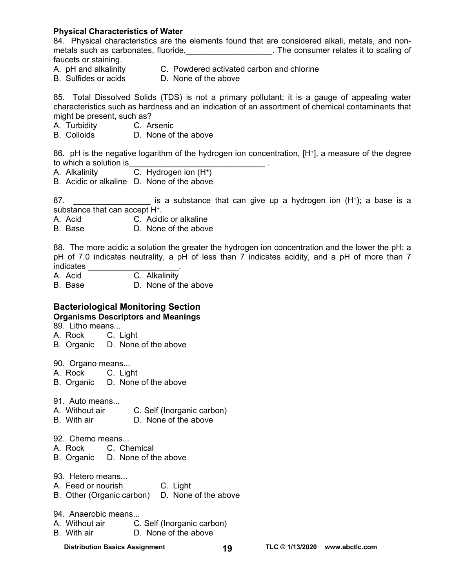### **Physical Characteristics of Water**

84. Physical characteristics are the elements found that are considered alkali, metals, and nonmetals such as carbonates, fluoride, \_\_\_\_\_\_\_\_\_\_\_\_\_\_\_\_\_\_\_. The consumer relates it to scaling of faucets or staining.

- 
- A. pH and alkalinity C. Powdered activated carbon and chlorine
- 
- B. Sulfides or acids D. None of the above

85. Total Dissolved Solids (TDS) is not a primary pollutant; it is a gauge of appealing water characteristics such as hardness and an indication of an assortment of chemical contaminants that might be present, such as?

- A. Turbidity C. Arsenic<br>
B. Colloids D. None of
- D. None of the above

86. pH is the negative logarithm of the hydrogen ion concentration, [H<sup>+</sup>], a measure of the degree to which a solution is

- A. Alkalinity C. Hydrogen ion (H+)
- B. Acidic or alkaline D. None of the above

87. **Example 3** a substance that can give up a hydrogen ion (H<sup>+</sup>); a base is a substance that can accept H+.

A. Acid C. Acidic or alkaline

B. Base D. None of the above

88. The more acidic a solution the greater the hydrogen ion concentration and the lower the pH; a pH of 7.0 indicates neutrality, a pH of less than 7 indicates acidity, and a pH of more than 7 indicates \_\_\_\_\_\_\_\_\_\_\_\_

- A. Acid C. Alkalinity
- B. Base D. None of the above

# **Bacteriological Monitoring Section**

### **Organisms Descriptors and Meanings**

89. Litho means...

- A. Rock C. Light
- B. Organic D. None of the above
- 90. Organo means...
- A. Rock C. Light
- B. Organic D. None of the above
- 91. Auto means...
- A. Without air C. Self (Inorganic carbon)
- B. With air D. None of the above
- 92. Chemo means...
- A. Rock C. Chemical
- B. Organic D. None of the above
- 93. Hetero means...
- A. Feed or nourish C. Light
- B. Other (Organic carbon) D. None of the above
- 94. Anaerobic means...
- A. Without air C. Self (Inorganic carbon)
- B. With air D. None of the above
	-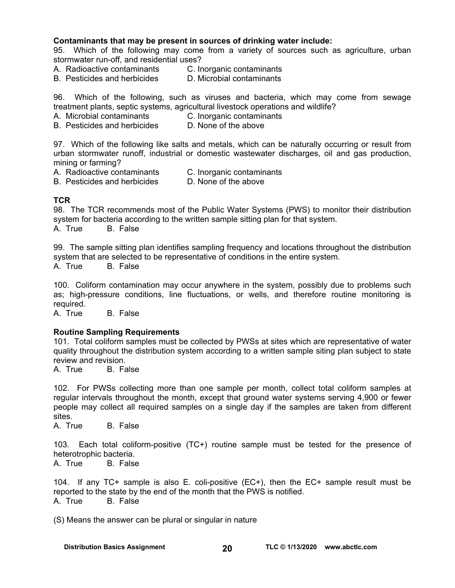### **Contaminants that may be present in sources of drinking water include:**

95. Which of the following may come from a variety of sources such as agriculture, urban stormwater run-off, and residential uses?

- A. Radioactive contaminants C. Inorganic contaminants
- B. Pesticides and herbicides D. Microbial contaminants

96. Which of the following, such as viruses and bacteria, which may come from sewage treatment plants, septic systems, agricultural livestock operations and wildlife?

- A. Microbial contaminants C. Inorganic contaminants
- B. Pesticides and herbicides D. None of the above

97. Which of the following like salts and metals, which can be naturally occurring or result from urban stormwater runoff, industrial or domestic wastewater discharges, oil and gas production, mining or farming?

- A. Radioactive contaminants C. Inorganic contaminants
- B. Pesticides and herbicides D. None of the above
- 

### **TCR**

98. The TCR recommends most of the Public Water Systems (PWS) to monitor their distribution system for bacteria according to the written sample sitting plan for that system. A. True B. False

99. The sample sitting plan identifies sampling frequency and locations throughout the distribution system that are selected to be representative of conditions in the entire system. A. True B. False

100. Coliform contamination may occur anywhere in the system, possibly due to problems such as; high-pressure conditions, line fluctuations, or wells, and therefore routine monitoring is required.

A. True B. False

### **Routine Sampling Requirements**

101. Total coliform samples must be collected by PWSs at sites which are representative of water quality throughout the distribution system according to a written sample siting plan subject to state review and revision.

A. True B. False

102. For PWSs collecting more than one sample per month, collect total coliform samples at regular intervals throughout the month, except that ground water systems serving 4,900 or fewer people may collect all required samples on a single day if the samples are taken from different sites.

A. True B. False

103. Each total coliform-positive (TC+) routine sample must be tested for the presence of heterotrophic bacteria.

A. True B. False

104. If any TC+ sample is also E. coli-positive (EC+), then the EC+ sample result must be reported to the state by the end of the month that the PWS is notified. A. True B. False

(S) Means the answer can be plural or singular in nature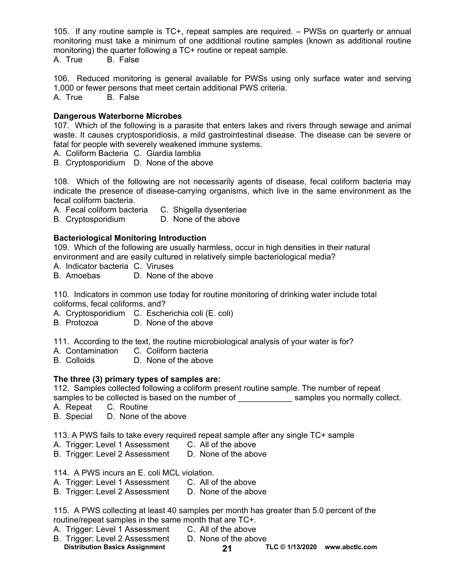105. If any routine sample is TC+, repeat samples are required. – PWSs on quarterly or annual monitoring must take a minimum of one additional routine samples (known as additional routine monitoring) the quarter following a TC+ routine or repeat sample.

A. True B. False

106. Reduced monitoring is general available for PWSs using only surface water and serving 1,000 or fewer persons that meet certain additional PWS criteria. A. True B. False

**Dangerous Waterborne Microbes** 

107. Which of the following is a parasite that enters lakes and rivers through sewage and animal waste. It causes cryptosporidiosis, a mild gastrointestinal disease. The disease can be severe or fatal for people with severely weakened immune systems.

A. Coliform Bacteria C. Giardia lamblia

B. Cryptosporidium D. None of the above

108. Which of the following are not necessarily agents of disease, fecal coliform bacteria may indicate the presence of disease-carrying organisms, which live in the same environment as the fecal coliform bacteria.

A. Fecal coliform bacteria C. Shigella dysenteriae

B. Cryptosporidium D. None of the above

### **Bacteriological Monitoring Introduction**

109. Which of the following are usually harmless, occur in high densities in their natural environment and are easily cultured in relatively simple bacteriological media?

- A. Indicator bacteria C. Viruses
- B. Amoebas D. None of the above

110. Indicators in common use today for routine monitoring of drinking water include total coliforms, fecal coliforms, and?

A. Cryptosporidium C. Escherichia coli (E. coli)<br>B. Protozoa D. None of the above

D. None of the above

111. According to the text, the routine microbiological analysis of your water is for?

- A. Contamination C. Coliform bacteria
- B. Colloids D. None of the above

### **The three (3) primary types of samples are:**

112. Samples collected following a coliform present routine sample. The number of repeat samples to be collected is based on the number of examples you normally collect.

- A. Repeat C. Routine
- B. Special D. None of the above

113. A PWS fails to take every required repeat sample after any single TC+ sample

- A. Trigger: Level 1 Assessment C. All of the above
- B. Trigger: Level 2 Assessment D. None of the above

114. A PWS incurs an E. coli MCL violation.

- A. Trigger: Level 1 Assessment C. All of the above
- B. Trigger: Level 2 Assessment D. None of the above

115. A PWS collecting at least 40 samples per month has greater than 5.0 percent of the routine/repeat samples in the same month that are TC+.

- A. Trigger: Level 1 Assessment C. All of the above
- B. Trigger: Level 2 Assessment D. None of the above
- **Distribution Basics Assignment TLC © 1/13/2020 21 [www.abctlc.com](http://www.abctlc.com)**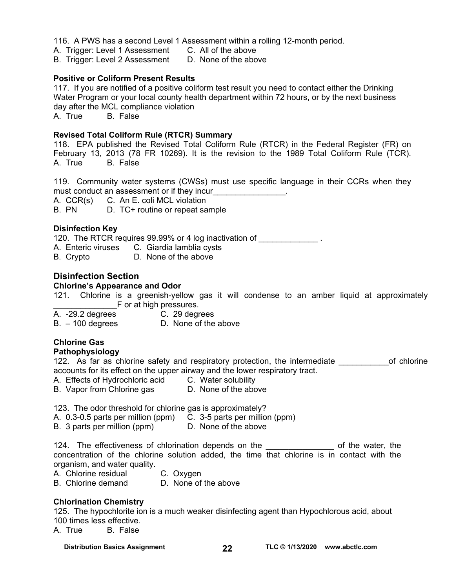116. A PWS has a second Level 1 Assessment within a rolling 12-month period.

A. Trigger: Level 1 Assessment C. All of the above

B. Trigger: Level 2 Assessment D. None of the above

### **Positive or Coliform Present Results**

117. If you are notified of a positive coliform test result you need to contact either the Drinking Water Program or your local county health department within 72 hours, or by the next business day after the MCL compliance violation

A. True B. False

### **Revised Total Coliform Rule (RTCR) Summary**

118. EPA published the Revised Total Coliform Rule (RTCR) in the Federal Register (FR) on February 13, 2013 (78 FR 10269). It is the revision to the 1989 Total Coliform Rule (TCR). A. True B. False

119. Community water systems (CWSs) must use specific language in their CCRs when they must conduct an assessment or if they incur

A. CCR(s) C. An E. coli MCL violation

B. PN D. TC+ routine or repeat sample

### **Disinfection Key**

120. The RTCR requires 99.99% or 4 log inactivation of \_\_\_\_\_\_\_\_\_\_\_\_\_\_.

A. Enteric viruses C. Giardia lamblia cysts

B. Crypto D. None of the above

### **Disinfection Section**

### **Chlorine's Appearance and Odor**

121. Chlorine is a greenish-yellow gas it will condense to an amber liquid at approximately F or at high pressures.

A. -29.2 degrees C. 29 degrees

B. – 100 degrees D. None of the above

### **Chlorine Gas**

### **Pathophysiology**

122. As far as chlorine safety and respiratory protection, the intermediate \_\_\_\_\_\_\_\_\_\_\_\_\_of chlorine accounts for its effect on the upper airway and the lower respiratory tract.

- A. Effects of Hydrochloric acid C. Water solubility
- B. Vapor from Chlorine gas D. None of the above

123. The odor threshold for chlorine gas is approximately?

- A. 0.3-0.5 parts per million (ppm) C. 3-5 parts per million (ppm)
- B. 3 parts per million (ppm) D. None of the above

124. The effectiveness of chlorination depends on the example of the water, the concentration of the chlorine solution added, the time that chlorine is in contact with the organism, and water quality.

A. Chlorine residual C. Oxygen

B. Chlorine demand D. None of the above

### **Chlorination Chemistry**

125. The hypochlorite ion is a much weaker disinfecting agent than Hypochlorous acid, about 100 times less effective.

A. True B. False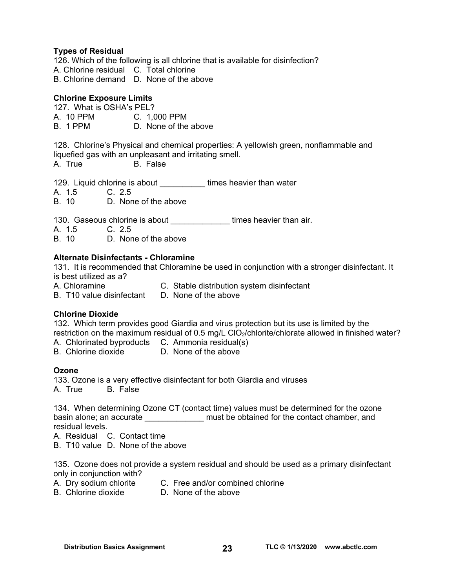### **Types of Residual**

126. Which of the following is all chlorine that is available for disinfection? A. Chlorine residual C. Total chlorine B. Chlorine demand D. None of the above

### **Chlorine Exposure Limits**

127. What is OSHA's PEL? A. 10 PPM C. 1,000 PPM B. 1 PPM D. None of the above

128. Chlorine's Physical and chemical properties: A yellowish green, nonflammable and liquefied gas with an unpleasant and irritating smell.

B. False

129. Liquid chlorine is about times heavier than water

A. 1.5 C. 2.5

B. 10 D. None of the above

130. Gaseous chlorine is about \_\_\_\_\_\_\_\_\_\_\_\_\_\_\_\_\_times heavier than air.

A. 1.5 C. 2.5<br>B. 10 D. Non

D. None of the above

### **Alternate Disinfectants - Chloramine**

131. It is recommended that Chloramine be used in conjunction with a stronger disinfectant. It is best utilized as a?

A. Chloramine C. Stable distribution system disinfectant

B. T10 value disinfectant D. None of the above

### **Chlorine Dioxide**

132. Which term provides good Giardia and virus protection but its use is limited by the restriction on the maximum residual of 0.5 mg/L ClO<sub>2</sub>/chlorite/chlorate allowed in finished water?

- A. Chlorinated byproducts C. Ammonia residual(s)
- B. Chlorine dioxide D. None of the above

### **Ozone**

133. Ozone is a very effective disinfectant for both Giardia and viruses A. True B. False

134. When determining Ozone CT (contact time) values must be determined for the ozone basin alone; an accurate \_\_\_\_\_\_\_\_\_\_\_\_\_\_\_ must be obtained for the contact chamber, and residual levels.

A. Residual C. Contact time

B. T10 value D. None of the above

135. Ozone does not provide a system residual and should be used as a primary disinfectant only in conjunction with?

- A. Dry sodium chlorite C. Free and/or combined chlorine
- 
- B. Chlorine dioxide D. None of the above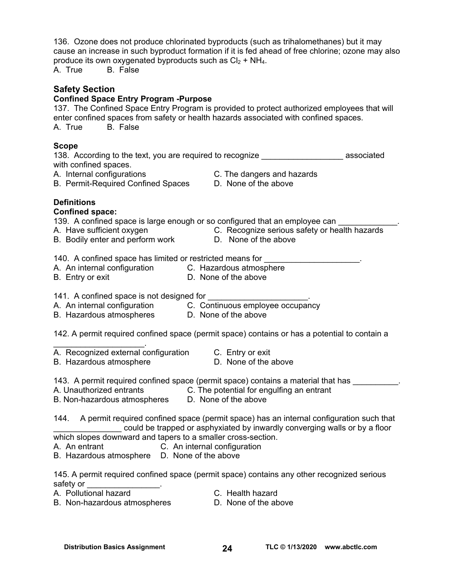| 136. Ozone does not produce chlorinated byproducts (such as trihalomethanes) but it may<br>cause an increase in such byproduct formation if it is fed ahead of free chlorine; ozone may also<br>produce its own oxygenated byproducts such as $Cl2 + NH4$ .<br><b>B.</b> False<br>A. True                                                                                                               |
|---------------------------------------------------------------------------------------------------------------------------------------------------------------------------------------------------------------------------------------------------------------------------------------------------------------------------------------------------------------------------------------------------------|
| <b>Safety Section</b><br><b>Confined Space Entry Program -Purpose</b><br>137. The Confined Space Entry Program is provided to protect authorized employees that will<br>enter confined spaces from safety or health hazards associated with confined spaces.<br><b>B.</b> False<br>A. True                                                                                                              |
| <b>Scope</b><br>138. According to the text, you are required to recognize <b>the endurance in the set of the set of the set of the set of the set of the set of the set of the set of the set of the set of the set of the set of the set of the</b><br>with confined spaces.<br>A. Internal configurations<br>C. The dangers and hazards<br>B. Permit-Required Confined Spaces<br>D. None of the above |
| <b>Definitions</b><br><b>Confined space:</b><br>139. A confined space is large enough or so configured that an employee can<br>A. Frave sufficient oxygen on the C. Recognize serious safety or health hazards<br>B. Bodily enter and perform work D. None of the above                                                                                                                                 |
| 140. A confined space has limited or restricted means for <b>construents</b><br>A. An internal configuration C. Hazardous atmosphere<br>B. Entry or oxit<br>D. None of the above<br>B. Entry or exit                                                                                                                                                                                                    |
| A. An internal configuration C. Continuous employee occupancy<br>B. Hazardous atmospheres D. None of the above                                                                                                                                                                                                                                                                                          |
| 142. A permit required confined space (permit space) contains or has a potential to contain a                                                                                                                                                                                                                                                                                                           |
| A. Recognized external configuration C. Entry or exit<br>D. None of the above<br>B. Hazardous atmosphere                                                                                                                                                                                                                                                                                                |
| 143. A permit required confined space (permit space) contains a material that has ___<br>A. Unauthorized entrants<br>C. The potential for engulfing an entrant<br>D. None of the above<br>B. Non-hazardous atmospheres                                                                                                                                                                                  |
| A permit required confined space (permit space) has an internal configuration such that<br>144.<br>could be trapped or asphyxiated by inwardly converging walls or by a floor<br>which slopes downward and tapers to a smaller cross-section.<br>C. An internal configuration<br>A. An entrant<br>B. Hazardous atmosphere D. None of the above                                                          |

145. A permit required confined space (permit space) contains any other recognized serious safety or  $\qquad \qquad \blacksquare$ 

A. Pollutional hazard<br>
B. Non-hazardous atmospheres<br>
D. None of the above B. Non-hazardous atmospheres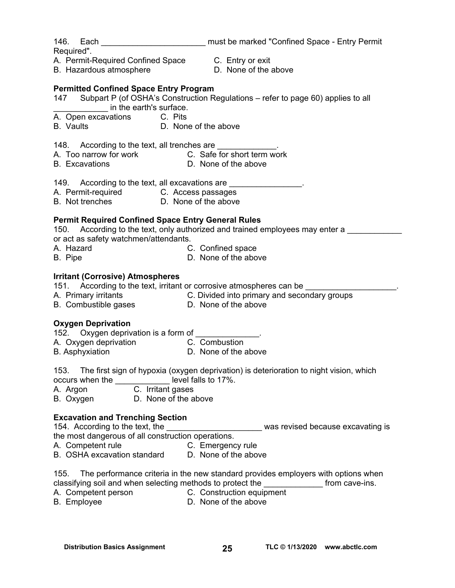146. Each \_\_\_\_\_\_\_\_\_\_\_\_\_\_\_\_\_\_\_\_\_\_\_\_\_\_\_\_ must be marked "Confined Space - Entry Permit

Required".

- A. Permit-Required Confined Space C. Entry or exit
- B. Hazardous atmosphere **D.** None of the above
- 
- 

# **Permitted Confined Space Entry Program**

- 147 Subpart P (of OSHA's Construction Regulations refer to page 60) applies to all \_\_\_\_\_\_\_\_\_\_\_\_ in the earth's surface.
- A. Open excavations C. Pits
- B. Vaults **D. None of the above**
- 148. According to the text, all trenches are
- A. Too narrow for work C. Safe for short term work
- B. Excavations D. None of the above
- 149. According to the text, all excavations are \_\_\_\_\_\_\_\_\_\_\_\_\_\_\_.
- A. Permit-required **C. Access passages**
- B. Not trenches **D.** None of the above

# **Permit Required Confined Space Entry General Rules**

- 150. According to the text, only authorized and trained employees may enter a or act as safety watchmen/attendants.
- A. Hazard **C. Confined space**
- B. Pipe **D.** None of the above

### **Irritant (Corrosive) Atmospheres**

151. According to the text, irritant or corrosive atmospheres can be

- A. Primary irritants C. Divided into primary and secondary groups
- B. Combustible gases **D. None of the above**

# **Oxygen Deprivation**

152. Oxygen deprivation is a form of

- A. Oxygen deprivation **C.** Combustion
- B. Asphyxiation D. None of the above

153. The first sign of hypoxia (oxygen deprivation) is deterioration to night vision, which occurs when the \_\_\_\_\_\_\_\_\_\_\_\_ level falls to 17%.

A. Argon C. Irritant gases

B. Oxygen D. None of the above

# **Excavation and Trenching Section**

Excavation and Trenching Section<br>154. According to the text, the \_\_\_\_\_\_\_\_\_\_\_\_\_\_\_\_\_\_\_\_\_\_\_\_\_\_\_ was revised because excavating is the most dangerous of all construction operations.

- A. Competent rule C. Emergency rule
- B. OSHA excavation standard D. None of the above
- 155. The performance criteria in the new standard provides employers with options when classifying soil and when selecting methods to protect the \_\_\_\_\_\_\_\_\_\_\_\_\_ from cave-ins.
- A. Competent person **C. Construction equipment**
- 
- B. Employee **D.** None of the above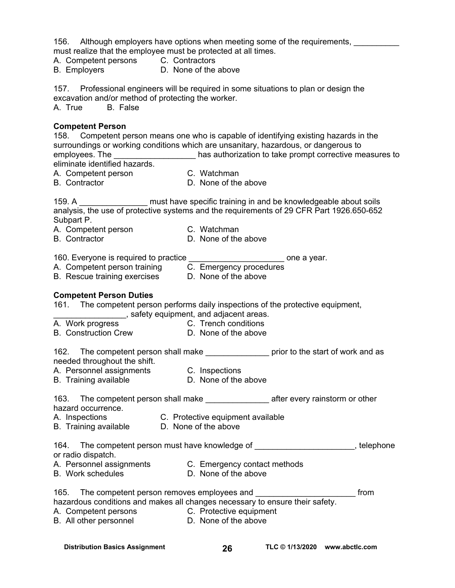156. Although employers have options when meeting some of the requirements, must realize that the employee must be protected at all times.

- A. Competent persons C. Contractors
- B. Employers **D. None of the above**

157. Professional engineers will be required in some situations to plan or design the excavation and/or method of protecting the worker. A. True B. False

### **Competent Person**

158. Competent person means one who is capable of identifying existing hazards in the surroundings or working conditions which are unsanitary, hazardous, or dangerous to employees. The \_\_\_\_\_\_\_\_\_\_\_\_\_\_\_\_\_\_\_\_\_\_\_ has authorization to take prompt corrective measures to eliminate identified hazards.

- A. Competent person C. Watchman
- B. Contractor D. None of the above
- 

159. A **The Must have specific training in and be knowledgeable about soils** 

analysis, the use of protective systems and the requirements of 29 CFR Part 1926.650-652 Subpart P.

- A. Competent person C. Watchman
	-
- B. Contractor **D.** None of the above

160. Everyone is required to practice the state one a year.

- 
- A. Competent person training C. Emergency procedures
- B. Rescue training exercises D. None of the above

### **Competent Person Duties**

161. The competent person performs daily inspections of the protective equipment,

\_\_\_\_\_\_\_\_\_\_\_\_\_\_\_\_, safety equipment, and adjacent areas.

- A. Work progress C. Trench conditions
- B. Construction Crew D. None of the above

162. The competent person shall make \_\_\_\_\_\_\_\_\_\_\_\_\_\_\_\_ prior to the start of work and as needed throughout the shift.

- A. Personnel assignments C. Inspections
	-
- B. Training available D. None of the above

| 163 | The competent person shall make | after every rainstorm or other |
|-----|---------------------------------|--------------------------------|
|     | hazard occurrence.              |                                |

- A. Inspections C. Protective equipment available
- B. Training available D. None of the above

164. The competent person must have knowledge of **the competent person must have knowledge of** the computation of or radio dispatch.

A. Personnel assignments C. Emergency contact methods

B. Work schedules **D. None of the above** 

| 165. | The competent person removes employees and                                   | from |
|------|------------------------------------------------------------------------------|------|
|      | hazardous conditions and makes all changes necessary to ensure their safety. |      |

A. Competent persons C. Protective equipment B. All other personnel D. None of the above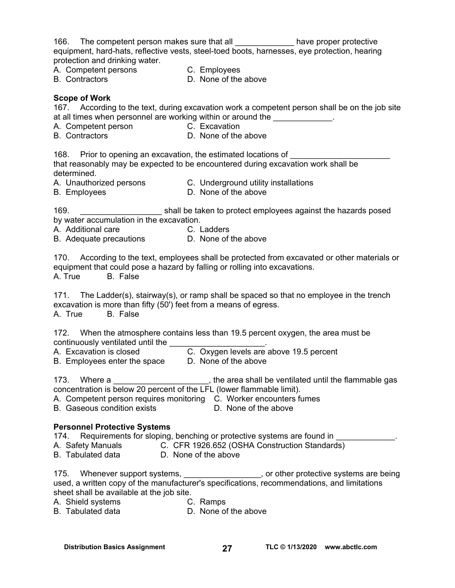| 166. The competent person makes sure that all _______________ have proper protective<br>equipment, hard-hats, reflective vests, steel-toed boots, harnesses, eye protection, hearing<br>protection and drinking water.                                                               |                                                                 |                                |
|--------------------------------------------------------------------------------------------------------------------------------------------------------------------------------------------------------------------------------------------------------------------------------------|-----------------------------------------------------------------|--------------------------------|
| A. Competent persons<br>B. Contractors                                                                                                                                                                                                                                               | C. Employees                                                    |                                |
| <b>B.</b> Contractors                                                                                                                                                                                                                                                                | D. None of the above                                            |                                |
| <b>Scope of Work</b><br>167. According to the text, during excavation work a competent person shall be on the job site<br>at all times when personnel are working within or around the<br>A. Competent person C. Excavation<br><b>B.</b> Contractors                                 | D. None of the above                                            |                                |
|                                                                                                                                                                                                                                                                                      |                                                                 |                                |
| 168. Prior to opening an excavation, the estimated locations of<br>that reasonably may be expected to be encountered during excavation work shall be<br>determined.                                                                                                                  |                                                                 |                                |
| A. Unauthorized persons C. Underground utility installations<br><b>B.</b> Employees                                                                                                                                                                                                  | D. None of the above                                            |                                |
| 169.<br>by water accumulation in the excavation.<br>A. Additional care C. Ladders<br>B. Adequate precautions D. None of the above                                                                                                                                                    | shall be taken to protect employees against the hazards posed   |                                |
|                                                                                                                                                                                                                                                                                      |                                                                 |                                |
| 170. According to the text, employees shall be protected from excavated or other materials or<br>equipment that could pose a hazard by falling or rolling into excavations.<br>A. True<br><b>B.</b> False                                                                            |                                                                 |                                |
| 171. The Ladder(s), stairway(s), or ramp shall be spaced so that no employee in the trench<br>excavation is more than fifty (50') feet from a means of egress.<br>A. True<br><b>B.</b> False                                                                                         |                                                                 |                                |
| 172. When the atmosphere contains less than 19.5 percent oxygen, the area must be<br>continuously ventilated until the<br>A. Excavation is closed<br>B. Employees enter the space                                                                                                    | C. Oxygen levels are above 19.5 percent<br>D. None of the above |                                |
| 173. Where a _________________________, the area shall be ventilated until the flammable gas concentration is below 20 percent of the LFL (lower flammable limit).<br>A. Competent person requires monitoring C. Worker encounters fumes<br><b>B.</b> Gaseous condition exists       | D. None of the above                                            |                                |
| <b>Personnel Protective Systems</b><br>Requirements for sloping, benching or protective systems are found in ___________<br>174.<br>A. Safety Manuals C. CFR 1926.652 (OSHA Construction Standards)<br>B. Tabulated data <b>D.</b> None of the above                                 |                                                                 |                                |
| 175. Whenever support systems, _________________, or other protective systems are being<br>used, a written copy of the manufacturer's specifications, recommendations, and limitations<br>sheet shall be available at the job site.<br>A. Shield systems<br><b>B.</b> Tabulated data | C. Ramps<br>D. None of the above                                |                                |
| <b>Distribution Basics Assignment</b>                                                                                                                                                                                                                                                | 27                                                              | TLC © 1/13/2020 www.abctlc.com |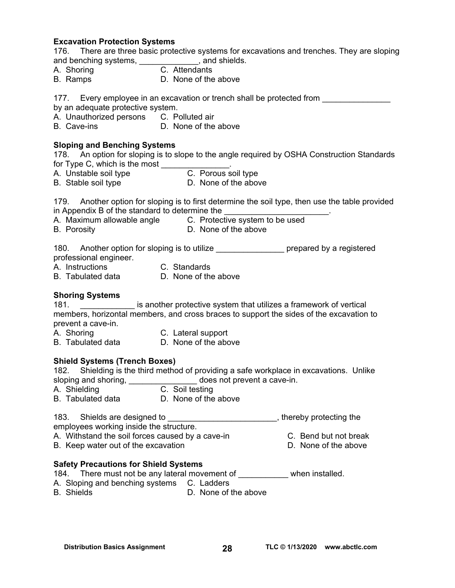### **Excavation Protection Systems**

| 176.       |                       | There are three basic protective systems for excavations and trenches. They are sloping |  |  |
|------------|-----------------------|-----------------------------------------------------------------------------------------|--|--|
|            | and benching systems, | , and shields.                                                                          |  |  |
| A. Shoring |                       | C. Attendants                                                                           |  |  |

B. Ramps D. None of the above

177. Every employee in an excavation or trench shall be protected from

- by an adequate protective system.
- A. Unauthorized persons C. Polluted air
- B. Cave-ins **D. None of the above**

### **Sloping and Benching Systems**

178. An option for sloping is to slope to the angle required by OSHA Construction Standards for Type C, which is the most \_\_\_\_\_\_\_\_\_\_\_\_\_\_\_.

- A. Unstable soil type **C. Porous soil type**
- B. Stable soil type **D.** None of the above

179. Another option for sloping is to first determine the soil type, then use the table provided in Appendix B of the standard to determine the

- A. Maximum allowable angle C. Protective system to be used
- 
- B. Porosity D. None of the above

180. Another option for sloping is to utilize the summary prepared by a registered professional engineer.

- A. Instructions C. Standards
- B. Tabulated data D. None of the above

### **Shoring Systems**

181. \_\_\_\_\_\_\_\_\_\_\_\_ is another protective system that utilizes a framework of vertical members, horizontal members, and cross braces to support the sides of the excavation to prevent a cave-in.

- A. Shoring **C. Lateral support**
- B. Tabulated data D. None of the above

### **Shield Systems (Trench Boxes)**

182. Shielding is the third method of providing a safe workplace in excavations. Unlike sloping and shoring, \_\_\_\_\_\_\_\_\_\_\_\_\_\_\_\_\_ does not prevent a cave-in.

- A. Shielding C. Soil testing
- B. Tabulated data D. None of the above

| 183. Shields are designed to                   | , thereby protecting the |
|------------------------------------------------|--------------------------|
| applait and unplace in a data that a thugh use |                          |

- employees working inside the structure.
- A. Withstand the soil forces caused by a cave-in **C.** Bend but not break B. Keep water out of the excavation **B.** None of the above

### **Safety Precautions for Shield Systems**

- 184. There must not be any lateral movement of \_\_\_\_\_\_\_\_\_\_\_ when installed.
- A. Sloping and benching systems C. Ladders
- B. Shields **D. None of the above**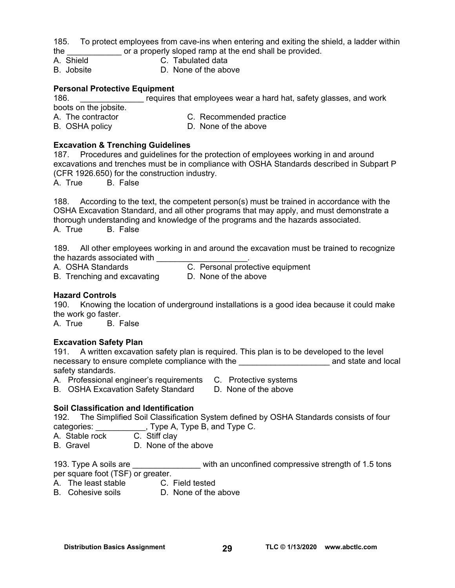185. To protect employees from cave-ins when entering and exiting the shield, a ladder within the or a properly sloped ramp at the end shall be provided.

- A. Shield C. Tabulated data
- B. Jobsite D. None of the above

### **Personal Protective Equipment**

| 186.                  | requires that employees wear a hard hat, safety glasses, and work |
|-----------------------|-------------------------------------------------------------------|
| boots on the jobsite. |                                                                   |
| A. The contractor     | C. Recommended practice                                           |
| B. OSHA policy        | D. None of the above                                              |

### **Excavation & Trenching Guidelines**

187. Procedures and guidelines for the protection of employees working in and around excavations and trenches must be in compliance with OSHA Standards described in Subpart P (CFR 1926.650) for the construction industry.

A. True B. False

188. According to the text, the competent person(s) must be trained in accordance with the OSHA Excavation Standard, and all other programs that may apply, and must demonstrate a thorough understanding and knowledge of the programs and the hazards associated. A. True B. False

189. All other employees working in and around the excavation must be trained to recognize the hazards associated with

- 
- B. Trenching and excavating D. None of the above
- A. OSHA Standards C. Personal protective equipment
	-

### **Hazard Controls**

190. Knowing the location of underground installations is a good idea because it could make the work go faster.

A. True B. False

### **Excavation Safety Plan**

191. A written excavation safety plan is required. This plan is to be developed to the level necessary to ensure complete compliance with the endlocal control and state and local safety standards.

- A. Professional engineer's requirements C. Protective systems
	-
- B. OSHA Excavation Safety Standard D. None of the above

### **Soil Classification and Identification**

192. The Simplified Soil Classification System defined by OSHA Standards consists of four categories: \_\_\_\_\_\_\_\_\_\_\_, Type A, Type B, and Type C.

A. Stable rock C. Stiff clay

B. Gravel D. None of the above

193. Type A soils are **Example 20** with an unconfined compressive strength of 1.5 tons per square foot (TSF) or greater.

A. The least stable C. Field tested

B. Cohesive soils **D.** None of the above